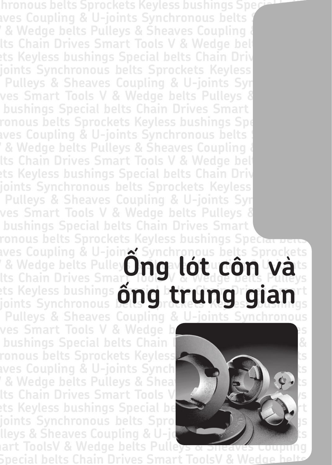**chronous belts Sprockets Keyless bushings Special belts**  aves Coupling & U-joints Synchronous belts *B* Wedge belts Pulleys & Sheaves Coupling & **lts Chain Drives Smart Tools V & Wedge bel**' **ets Keyless bushings Special belts Chain Driv joints Synchronous belts Sprockets Keyless Pulleys & Sheaves Coupling & U-joints Syn ves Smart Tools V & Wedge belts Pulleys & Sheaves bushings Special belts Chain Drives Smart ronous belts Sprockets Keyless bushings Special belts**  aves Coupling & U-joints Synchronous belts *K* **Wedge belts Pulleys & Sheaves Coupling & lts Chain Drives Smart Tools V & Wedge belts ets Keyless bushings Special belts Chain Driv joints Synchronous belts Sprockets Keyless bushings Pulleys & Sheaves Coupling & U-joints Syn ves Smart Tools V & Wedge belts Pulleys & Sheaves bushings Special belts Chain Drives Smart** 

### **ronous belts Sprockets Keyless bushings Speci<del>al be</del> aves Coupling & U-joints Synchronous belts Sprockets**  *L* **& Wedge belts Pulleys manufold the Coupling Wats Laves Couping & O-jon.<br>

<b>E** Wedge belts Pulley **Ding violey Côn Wa**ts<br>
Its Chain Drives Smart 1009 & Wedge belts Pulleys ets Keyless bushings **Sma**l beligned in der and ets Keyless bushings  $\delta$ ng trung gian<sup>rt</sup> **Pulleys & Sheaves Coupling & U-joints Synchronous**

ves Smart Tools V & Wedge belts and the season of the Sheaves Belts Avenue and the Sheaves **Belts** 2014 and the S<br>Bushings Special belts Chain **bushings Special belts Chain I ronous belts Sprockets Keyless Special belts** ts aves Coupling & U-joints Synch**ronous And Sprockets** is *L* **& Wedge belts Pulleys & Sheaves lts Chain Drives Smart Tools V ets Keyless bushings Special be** joints Synchronous belts Spro **lleys & Sheaves Coupling & U-joint Synchronous and Its** 



**mart ToolsV & Wedge belts Pulleys & Sheaves Cot Special belts Chain Drives Smart ToolsV & Wedge belts**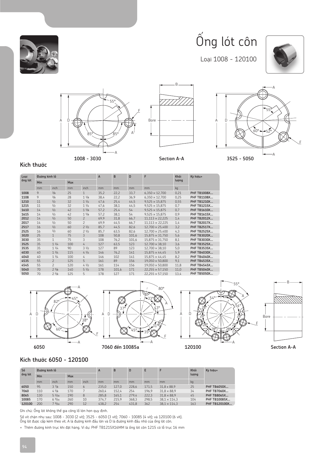

## $\acute{\text{o}}$ ng lót côn

Loaåi 1008 - 120100







B



#### **Kñch thûúác**

| Loai    | Đường kính lỗ |                          |            |                          | A    | B     | D     | F                      | Khối  | Ký hiêu+           |
|---------|---------------|--------------------------|------------|--------------------------|------|-------|-------|------------------------|-------|--------------------|
| ống lót | Min           |                          | <b>Max</b> |                          |      |       |       |                        | luong |                    |
|         | mm            | inch                     | mm         | inch                     | mm   | mm    | mm    | mm                     | kg    |                    |
| 1008    | 9             | 3/8                      | 25         | $\mathbf{1}$             | 35.2 | 22,2  | 33,7  | $6,350 \times 12,700$  | 0.21  | <b>PHF TB1008X</b> |
| 1108    | 9             | 3/8                      | 28         | $1 \frac{1}{8}$          | 38,4 | 22,2  | 36,9  | $6,350 \times 12,700$  | 0,25  | <b>PHF TB1108X</b> |
| 1210    | 11            | 1/2                      | 32         | 11/4                     | 47,6 | 25,4  | 44,5  | $9,525 \times 15,875$  | 0,55  | <b>PHF TB1210X</b> |
| 1215    | 11            | 1/2                      | 32         | 11/4                     | 47,6 | 38,1  | 44,5  | $9.525 \times 15.875$  | 0,7   | PHF TB1215X        |
| 1610    | 14            | 1/2                      | 42         | $1\frac{5}{8}$           | 57,2 | 25,4  | 54    | $9,525 \times 15,875$  | 0,7   | PHF TB1610X        |
| 1615    | 14            | 1/2                      | 42         | 15/8                     | 57,2 | 38,1  | 54    | $9.525 \times 15.875$  | 0,9   | PHF TB1615X        |
| 2012    | 14            | 1/2                      | 50         | $\overline{c}$           | 69,9 | 31,8  | 66,7  | $11,113 \times 22,225$ | 1.4   | <b>PHF TB2012X</b> |
| 2017    | 14            | 1/2                      | 50         | $\overline{\phantom{0}}$ | 69.9 | 44,5  | 66,7  | $11.113 \times 22.225$ | 1.4   | PHF TB2017X        |
| 2517    | 16            | 1/2                      | 60         | 21/2                     | 85,7 | 44,5  | 82,6  | $12.700 \times 25.400$ | 3,2   | <b>PHF TB2517X</b> |
| 2525    | 16            | 1/2                      | 60         | 21/2                     | 85,7 | 63,5  | 82,6  | $12,700 \times 25,400$ | 4,3   | <b>PHF TB2525X</b> |
| 3020    | 25            | 1                        | 75         | 3                        | 108  | 50,8  | 101,6 | $15.875 \times 31.750$ | 5,6   | <b>PHF TB3020X</b> |
| 3030    | 35            | 1                        | 75         | 3                        | 108  | 76,2  | 101,6 | $15,875 \times 31,750$ | 8,1   | PHF TB3030X        |
| 3525    | 35            | 11/4                     | 100        | 4                        | 127  | 63,5  | 123   | $12.700 \times 38.10$  | 3,6   | <b>PHF TB3525X</b> |
| 3535    | 35            | $1 \frac{1}{4}$          | 90         | $3 \frac{1}{2}$          | 127  | 89    | 123   | $12,700 \times 38,10$  | 5,0   | <b>PHF TB3535X</b> |
| 4030    | 40            | 13/4                     | 115        | 41/4                     | 146  | 76,2  | 141   | $15,875 \times 44,45$  | 5,9   | <b>PHF TB4030X</b> |
| 4040    | 40            | 13/4                     | 100        | 4                        | 146  | 102   | 141   | $15.875 \times 44.45$  | 8,2   | <b>PHF TB4040X</b> |
| 4535    | 55            | $\mathcal{P}$            | 125        | 5                        | 161  | 89    | 156   | $19.050 \times 50.800$ | 9,1   | <b>PHF TB4535X</b> |
| 4545    | 55            | $\overline{\phantom{0}}$ | 120        | 41/2                     | 161  | 114   | 156   | $19.050 \times 50.800$ | 11,8  | <b>PHF TB4545X</b> |
| 5040    | 70            | 25/8                     | 140        | $5 \frac{1}{2}$          | 178  | 101,6 | 171   | $22,255 \times 57,150$ | 11,0  | <b>PHF TB5040X</b> |
| 5050    | 70            | 25/8                     | 125        | 5                        | 178  | 127   | 171   | $22,255 \times 57,150$ | 13,4  | <b>PHF TB5050X</b> |





### **Kñch thûúác 6050 - 120100**

| Số      | Đường kính lỗ |       |     |      | $\mathbf{A}$ | B     | D     | E     |                     | Khối  | Ký hiệu+           |
|---------|---------------|-------|-----|------|--------------|-------|-------|-------|---------------------|-------|--------------------|
| ống lót | Min           |       | Max |      |              |       |       |       |                     | lương |                    |
|         | mm            | inch  | mm  | inch | mm           | mm    | mm    | mm    | mm                  | kg    |                    |
| 6050    | 95            | 37/8  | 150 | 6    | 235.0        | 127.0 | 228.6 | 171.5 | $31.8 \times 88.9$  | 25    | <b>PHF TB6050X</b> |
| 7060    | 110           | 45/8  | 170 |      | 260.4        | 152.4 | 254   | 196.9 | $31.8 \times 88.9$  | 34    | PHF TB7060X        |
| 8065    | 130           | 51/16 | 190 | 8    | 285.8        | 165.1 | 279.4 | 222.3 | $31.8 \times 88.9$  | 45    | <b>PHF TB8065X</b> |
| 10085   | 170           | 69/16 | 260 | 10   | 374.7        | 215.9 | 368.3 | 298.5 | $38.1 \times 114.3$ | 104   | PHF TB10085X       |
| 120100  | 200           | 79/16 | 290 | 12   | 438.2        | 254   | 431.8 | 362   | $38.1 \times 114.3$ | 163   | PHF TB120100X      |

Ghi chú: Ống lót không thể gia công lổ lớn hơn quy định.

Số vít chặn như sau: 1008 - 3030 (2 vít); 3525 - 6050 (3 vít); 7060 - 10085 (4 vít); và 120100 (6 vít). Öng lót được cấp kèm theo vít. A là đường kính đầu lớn và D là đường kính đầu nhỏ của ống lót côn.

+ Thêm đường kính trục khi đặt hàng. Ví dụ: PHF TB1215X16MM là ống lót côn 1215 có lỗ trục 16 mm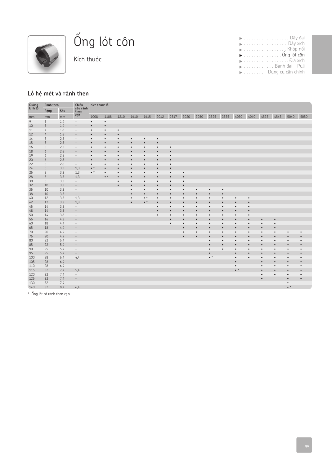

# $\hat{O}$ ng lót côn

Kích thước

| $\blacktriangleright$ Dây xích        |  |  |  |  |  |  |  |  |  |  |  |
|---------------------------------------|--|--|--|--|--|--|--|--|--|--|--|
| ▶ , Khớp nối                          |  |  |  |  |  |  |  |  |  |  |  |
| $\triangleright$ Ông lót côn          |  |  |  |  |  |  |  |  |  |  |  |
|                                       |  |  |  |  |  |  |  |  |  |  |  |
| <b>Exercise State Bánh đai - Puli</b> |  |  |  |  |  |  |  |  |  |  |  |
| Dung cụ cân chỉnh                     |  |  |  |  |  |  |  |  |  |  |  |
|                                       |  |  |  |  |  |  |  |  |  |  |  |

#### Lỗ hệ mét và rãnh then

| Đường<br>kính lỗ | Ränh then     |     | Chiều                    | Kích thước lỗ |             |           |           |             |           |           |           |           |             |           |             |           |           |           |             |           |
|------------------|---------------|-----|--------------------------|---------------|-------------|-----------|-----------|-------------|-----------|-----------|-----------|-----------|-------------|-----------|-------------|-----------|-----------|-----------|-------------|-----------|
|                  | Rộng          | Sâu | sâu rănh<br>then         |               |             |           |           |             |           |           |           |           |             |           |             |           |           |           |             |           |
| mm               | mm            | mm  | cạn                      | 1008          | 1108        | 1210      | 1610      | 1615        | 2012      | 2517      | 3020      | 3030      | 3525        | 3535      | 4030        | 4040      | 4535      | 4545      | 5040        | 5050      |
| 9                | 3             | 1,4 | $\sim$                   | $\bullet$     | $\bullet$   |           |           |             |           |           |           |           |             |           |             |           |           |           |             |           |
| 10               | 3             | 1,4 | $\overline{\phantom{a}}$ | $\bullet$     | $\bullet$   |           |           |             |           |           |           |           |             |           |             |           |           |           |             |           |
| 11               | 4             | 1,8 | $\overline{\phantom{a}}$ | $\bullet$     | $\bullet$   | $\bullet$ |           |             |           |           |           |           |             |           |             |           |           |           |             |           |
| 12               | $\frac{1}{4}$ | 1,8 | $\overline{\phantom{a}}$ | $\bullet$     | $\bullet$   | $\bullet$ |           |             |           |           |           |           |             |           |             |           |           |           |             |           |
| 14               | 5             | 2,3 | $\overline{\phantom{a}}$ | $\bullet$     | $\bullet$   | $\bullet$ | $\bullet$ | $\bullet$   | $\bullet$ |           |           |           |             |           |             |           |           |           |             |           |
| 15               | 5             | 2,3 | $\overline{\phantom{a}}$ | $\bullet$     | $\bullet$   | $\bullet$ | $\bullet$ | $\bullet$   | $\bullet$ |           |           |           |             |           |             |           |           |           |             |           |
| 16               | 5             | 2,3 | $\overline{\phantom{a}}$ | $\bullet$     | $\bullet$   | $\bullet$ | $\bullet$ | $\bullet$   | $\bullet$ | $\bullet$ |           |           |             |           |             |           |           |           |             |           |
| 18               | 6             | 2,8 | $\overline{\phantom{a}}$ | $\bullet$     | $\bullet$   | $\bullet$ | $\bullet$ | $\bullet$   | $\bullet$ | $\bullet$ |           |           |             |           |             |           |           |           |             |           |
| 19               | 6             | 2,8 | $\sim$                   | $\bullet$     | $\bullet$   | $\bullet$ | $\bullet$ | $\bullet$   | $\bullet$ | $\bullet$ |           |           |             |           |             |           |           |           |             |           |
| 20               | 6             | 2,8 | $\overline{\phantom{a}}$ | $\bullet$     | $\bullet$   |           |           | $\bullet$   | $\bullet$ |           |           |           |             |           |             |           |           |           |             |           |
| 22               | 6             | 2,8 | $\overline{\phantom{a}}$ | $\bullet$     | $\bullet$   | $\bullet$ | $\bullet$ | $\bullet$   | $\bullet$ | $\bullet$ |           |           |             |           |             |           |           |           |             |           |
| 24               | 8             | 3,3 | 1,3                      | $\bullet$ *   | $\bullet$   | $\bullet$ | $\bullet$ | $\bullet$   | $\bullet$ | $\bullet$ |           |           |             |           |             |           |           |           |             |           |
| 25               | 8             | 3,3 | 1,3                      | $\bullet^*$   | $\bullet$   | $\bullet$ | $\bullet$ | $\bullet$   | $\bullet$ | $\bullet$ | $\bullet$ |           |             |           |             |           |           |           |             |           |
| 28               | $\,$ 8        | 3,3 | 1,3                      |               | $\bullet$ * | $\bullet$ | $\bullet$ | $\bullet$   | $\bullet$ | $\bullet$ | $\bullet$ |           |             |           |             |           |           |           |             |           |
| 30               | 8             | 3,3 | $\overline{\phantom{a}}$ |               |             | $\bullet$ | $\bullet$ | $\bullet$   | $\bullet$ | $\bullet$ | $\bullet$ |           |             |           |             |           |           |           |             |           |
| 32               | 10            | 3,3 | $\overline{\phantom{a}}$ |               |             |           | $\bullet$ | $\bullet$   | $\bullet$ | $\bullet$ | $\bullet$ |           |             |           |             |           |           |           |             |           |
| 35               | 10            | 3,3 | $\sim$                   |               |             |           | $\bullet$ | $\bullet$   | $\bullet$ | $\bullet$ | $\bullet$ | $\bullet$ | $\bullet$   | $\bullet$ |             |           |           |           |             |           |
| 38               | 10            | 3,3 | $\overline{\phantom{a}}$ |               |             |           | $\bullet$ | $\bullet$   | $\bullet$ | $\bullet$ | $\bullet$ | $\bullet$ | $\bullet$   | ٠         |             |           |           |           |             |           |
| 40               | 12            | 3,3 | 1,3                      |               |             |           | $\bullet$ | $\bullet *$ | $\bullet$ | $\bullet$ | $\bullet$ | $\bullet$ | $\bullet$   | $\bullet$ | $\bullet$   | $\bullet$ |           |           |             |           |
| 42               | 12            | 3,3 | 1,3                      |               |             |           | $\bullet$ | $\bullet *$ | $\bullet$ | $\bullet$ | $\bullet$ | $\bullet$ | $\bullet$   | $\bullet$ | $\bullet$   | $\bullet$ |           |           |             |           |
| 45               | 14            | 3,8 | $\overline{\phantom{a}}$ |               |             |           |           |             | $\bullet$ | $\bullet$ | $\bullet$ | $\bullet$ | $\bullet$   | $\bullet$ | $\bullet$   | $\bullet$ |           |           |             |           |
| 48               | 14            | 3,8 | $\overline{\phantom{a}}$ |               |             |           |           |             | $\bullet$ | $\bullet$ | $\bullet$ | $\bullet$ | $\bullet$   | $\bullet$ | $\bullet$   | $\bullet$ |           |           |             |           |
| 50               | 14            | 3,8 | $\sim$                   |               |             |           |           |             | $\bullet$ | $\bullet$ | $\bullet$ | $\bullet$ | $\bullet$   | $\bullet$ | $\bullet$   | $\bullet$ |           |           |             |           |
| 55               | 16            | 4,3 | $\overline{\phantom{a}}$ |               |             |           |           |             |           | $\bullet$ | $\bullet$ | $\bullet$ | $\bullet$   | $\bullet$ | $\bullet$   | $\bullet$ | $\bullet$ | $\bullet$ |             |           |
| 60               | 18            | 4,4 | $\overline{\phantom{a}}$ |               |             |           |           |             |           | $\bullet$ | $\bullet$ | $\bullet$ | $\bullet$   | $\bullet$ | $\bullet$   | $\bullet$ | $\bullet$ | $\bullet$ |             |           |
| 65               | 18            | 4,4 | $\overline{\phantom{a}}$ |               |             |           |           |             |           |           | $\bullet$ | $\bullet$ | $\bullet$   | $\bullet$ | $\bullet$   | $\bullet$ | $\bullet$ | $\bullet$ |             |           |
| 70               | 20            | 4,9 | $\overline{\phantom{a}}$ |               |             |           |           |             |           |           | $\bullet$ | $\bullet$ | $\bullet$   | $\bullet$ | $\bullet$   | $\bullet$ | $\bullet$ | $\bullet$ | $\bullet$   | $\bullet$ |
| 75               | 20            | 4,9 | $\overline{\phantom{a}}$ |               |             |           |           |             |           |           | $\bullet$ | $\bullet$ | $\bullet$   | $\bullet$ |             | $\bullet$ | $\bullet$ | $\bullet$ | $\bullet$   | $\bullet$ |
| 80               | 22            | 5,4 | $\overline{\phantom{a}}$ |               |             |           |           |             |           |           |           |           | $\bullet$   | $\bullet$ | $\bullet$   | $\bullet$ | $\bullet$ | $\bullet$ | $\bullet$   | $\bullet$ |
| 85               | 22            | 5,4 | $\overline{\phantom{a}}$ |               |             |           |           |             |           |           |           |           | $\bullet$   | $\bullet$ | $\bullet$   | $\bullet$ | $\bullet$ | $\bullet$ | $\bullet$   | $\bullet$ |
| 90               | 25            | 5,4 | $\sim$                   |               |             |           |           |             |           |           |           |           | $\bullet$   | $\bullet$ | $\bullet$   | $\bullet$ | $\bullet$ | $\bullet$ | $\bullet$   | $\bullet$ |
| 95               | 25            | 5,4 | $\overline{\phantom{a}}$ |               |             |           |           |             |           |           |           |           |             |           |             | $\bullet$ | $\bullet$ |           | $\bullet$   | $\bullet$ |
| 100              | 28            | 6,4 | 4,4                      |               |             |           |           |             |           |           |           |           | $\bullet$ * |           | $\bullet$   | $\bullet$ | $\bullet$ | $\bullet$ | $\bullet$   | $\bullet$ |
| 105              | 28            | 6,4 | $\overline{\phantom{a}}$ |               |             |           |           |             |           |           |           |           |             |           |             |           | $\bullet$ | $\bullet$ | $\bullet$   | $\bullet$ |
| 110              | 28            | 6,4 | $\sim$                   |               |             |           |           |             |           |           |           |           |             |           | $\bullet$   |           | $\bullet$ | $\bullet$ | $\bullet$   | $\bullet$ |
| 115              | 32            | 7.4 | 5,4                      |               |             |           |           |             |           |           |           |           |             |           | $\bullet *$ |           | $\bullet$ | $\bullet$ | $\bullet$   | $\bullet$ |
| 120              | 32            | 7,4 | $\overline{\phantom{a}}$ |               |             |           |           |             |           |           |           |           |             |           |             |           | $\bullet$ | $\bullet$ | $\bullet$   | $\bullet$ |
| 125              | 32            | 7,4 | $\overline{\phantom{a}}$ |               |             |           |           |             |           |           |           |           |             |           |             |           | $\bullet$ |           | $\bullet$   |           |
| 130              | 32            | 7,4 | $\overline{\phantom{a}}$ |               |             |           |           |             |           |           |           |           |             |           |             |           |           |           | $\bullet$   |           |
| 140              | 32            | 8,4 | 6,4                      |               |             |           |           |             |           |           |           |           |             |           |             |           |           |           | $\bullet$ * |           |
|                  |               |     |                          |               |             |           |           |             |           |           |           |           |             |           |             |           |           |           |             |           |

\*  $\acute{0}$ ng lót có rãnh then cạn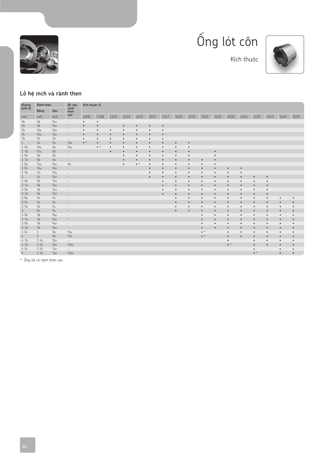





Kích thước

### Lỗ hệ inch và rãnh then

| Đường<br>kính lỗ | Ränh then       |           | Bể sâu                   | Kích thước lỗ |             |           |           |             |           |           |           |           |             |           |             |           |             |           |           |           |
|------------------|-----------------|-----------|--------------------------|---------------|-------------|-----------|-----------|-------------|-----------|-----------|-----------|-----------|-------------|-----------|-------------|-----------|-------------|-----------|-----------|-----------|
|                  | Rộng            | Sâu       | rånh<br>then             |               |             |           |           |             |           |           |           |           |             |           |             |           |             |           |           |           |
| inch             | inch            | inch      | can                      | 1008          | 1108        | 1210      | 1610      | 1615        | 2012      | 2517      | 3020      | 3030      | 3525        | 3535      | 4030        | 4040      | 4535        | 4545      | 5040      | 5050      |
| 3/8              | 1/8             | 1/16      | $\overline{\phantom{a}}$ | $\bullet$     | $\bullet$   |           |           |             |           |           |           |           |             |           |             |           |             |           |           |           |
| 1/2              | 1/8             | 1/16      | $\overline{\phantom{a}}$ | $\bullet$     | $\bullet$   |           | $\bullet$ | $\bullet$   | $\bullet$ | $\bullet$ |           |           |             |           |             |           |             |           |           |           |
| 5/8              | 3/16            | 3/32      | $\overline{\phantom{a}}$ | $\bullet$     | $\bullet$   | $\bullet$ | $\bullet$ | $\bullet$   | $\bullet$ | $\bullet$ |           |           |             |           |             |           |             |           |           |           |
| 3/4              | 3/16            | 3/32      | $\overline{\phantom{a}}$ | $\bullet$     | $\bullet$   | $\bullet$ | $\bullet$ | $\bullet$   | $\bullet$ | $\bullet$ |           |           |             |           |             |           |             |           |           |           |
| 7/8              | 1/4             | 1/8       | $\sim$                   | $\bullet$     | $\bullet$   | $\bullet$ | $\bullet$ | $\bullet$   | $\bullet$ | $\bullet$ |           |           |             |           |             |           |             |           |           |           |
| $\mathbf{1}$     | 1/4             | 1/8       | 1/16                     | $\bullet$ *   | $\bullet$   | $\bullet$ | $\bullet$ | $\bullet$   | $\bullet$ | $\bullet$ | $\bullet$ | $\bullet$ |             |           |             |           |             |           |           |           |
| $1 \frac{1}{8}$  | 5/16            | 1/8       | 5/64                     |               | $\bullet$ * | $\bullet$ | $\bullet$ | $\bullet$   | $\bullet$ | $\bullet$ | $\bullet$ | $\bullet$ |             |           |             |           |             |           |           |           |
| $1 \frac{1}{4}$  | 5/16            | 1/8       | $\sim$                   |               |             | $\bullet$ | $\bullet$ | $\bullet$   | $\bullet$ | $\bullet$ | $\bullet$ | $\bullet$ |             | $\bullet$ |             |           |             |           |           |           |
| $1 \frac{3}{8}$  | 3/8             | 1/8       | $\sim$                   |               |             |           | $\bullet$ | $\bullet$   | $\bullet$ | $\bullet$ | $\bullet$ | $\bullet$ |             | $\bullet$ |             |           |             |           |           |           |
| $1 \frac{1}{2}$  | 3/8             | 1/8       | $\overline{\phantom{a}}$ |               |             |           | $\bullet$ | $\bullet$   | $\bullet$ | $\bullet$ | $\bullet$ | $\bullet$ | $\bullet$   | $\bullet$ |             |           |             |           |           |           |
| 15/8             | 7/16            | 5/32      | 1/8                      |               |             |           | $\bullet$ | $\bullet$ * | $\bullet$ | $\bullet$ | $\bullet$ | $\bullet$ | $\bullet$   | $\bullet$ |             |           |             |           |           |           |
| $1 \frac{3}{4}$  | 7/16            | 5/32      | $\overline{\phantom{a}}$ |               |             |           |           |             | $\bullet$ | $\bullet$ | $\bullet$ | $\bullet$ | $\bullet$   | $\bullet$ | $\bullet$   | $\bullet$ |             |           |           |           |
| 17/8             | 1/2             | 5/32      | $\sim$                   |               |             |           |           |             | $\bullet$ | $\bullet$ | $\bullet$ | $\bullet$ | $\bullet$   | $\bullet$ | $\bullet$   | $\bullet$ |             |           |           |           |
| $\overline{2}$   | 1/2             | 5/32      | $\sim$                   |               |             |           |           |             | $\bullet$ | $\bullet$ | $\bullet$ | $\bullet$ | $\bullet$   | $\bullet$ | $\bullet$   | $\bullet$ | $\bullet$   | $\bullet$ |           |           |
| 21/8             | 5/8             | 7/32      | $\sim$                   |               |             |           |           |             |           | $\bullet$ | $\bullet$ | $\bullet$ | $\bullet$   | $\bullet$ | $\bullet$   | $\bullet$ | $\bullet$   | $\bullet$ |           |           |
| $2 \frac{1}{4}$  | 5/8             | 7/32      | $\sim$                   |               |             |           |           |             |           | $\bullet$ | $\bullet$ | $\bullet$ | $\bullet$   | $\bullet$ | $\bullet$   | $\bullet$ | $\bullet$   | $\bullet$ |           |           |
| $2 \frac{3}{8}$  | 5/8             | 7/32      | $\overline{\phantom{a}}$ |               |             |           |           |             |           | $\bullet$ | $\bullet$ | $\bullet$ | $\bullet$   | $\bullet$ | $\bullet$   | $\bullet$ | $\bullet$   | $\bullet$ |           |           |
| $2 \frac{1}{2}$  | 5/8             | 7/32      | $\overline{\phantom{a}}$ |               |             |           |           |             |           | $\bullet$ | $\bullet$ | $\bullet$ | $\bullet$   | $\bullet$ | $\bullet$   | $\bullet$ | $\bullet$   | $\bullet$ |           |           |
| 25/8             | 3/4             | 1/4       | $\overline{\phantom{a}}$ |               |             |           |           |             |           |           | $\bullet$ | $\bullet$ | $\bullet$   | $\bullet$ | $\bullet$   | $\bullet$ | $\bullet$   | $\bullet$ | $\bullet$ | $\bullet$ |
| $2 \frac{3}{4}$  | 3/4             | 1/4       | $\sim$                   |               |             |           |           |             |           |           | $\bullet$ | $\bullet$ | $\bullet$   | $\bullet$ | $\bullet$   | $\bullet$ | $\bullet$   | $\bullet$ | $\bullet$ | $\bullet$ |
| 27/8             | 3/4             | 1/4       | $\overline{\phantom{a}}$ |               |             |           |           |             |           |           | $\bullet$ | $\bullet$ | $\bullet$   | $\bullet$ | $\bullet$   | $\bullet$ | $\bullet$   | $\bullet$ | $\bullet$ | $\bullet$ |
| 3                | 3/4             | 1/4       | $\overline{\phantom{a}}$ |               |             |           |           |             |           |           | $\bullet$ | $\bullet$ | $\bullet$   | $\bullet$ | $\bullet$   | $\bullet$ | $\bullet$   | $\bullet$ | $\bullet$ | $\bullet$ |
| $3 \frac{1}{8}$  | $^{7/8}$        | 5/16      | $\overline{\phantom{a}}$ |               |             |           |           |             |           |           |           |           | $\bullet$   | $\bullet$ | $\bullet$   | $\bullet$ | $\bullet$   | $\bullet$ | $\bullet$ | $\bullet$ |
| $3 \frac{1}{4}$  | 7/8             | 5/16      | $\overline{\phantom{a}}$ |               |             |           |           |             |           |           |           |           | $\bullet$   | $\bullet$ | $\bullet$   | $\bullet$ | $\bullet$   | $\bullet$ | $\bullet$ | $\bullet$ |
| $3^{3}/8$        | $^{7/8}$        | 5/16      | $\sim$                   |               |             |           |           |             |           |           |           |           | $\bullet$   | $\bullet$ | $\bullet$   | $\bullet$ | $\bullet$   | $\bullet$ | $\bullet$ | $\bullet$ |
| $3 \frac{1}{2}$  | 7/8             | 5/16      | $\sim$                   |               |             |           |           |             |           |           |           |           | $\bullet$   | $\bullet$ | $\bullet$   | $\bullet$ | $\bullet$   | $\bullet$ | $\bullet$ | $\bullet$ |
| $3 \frac{3}{4}$  | $\mathbf{1}$    | 3/8       | 5/16                     |               |             |           |           |             |           |           |           |           | $\bullet$ * |           | $\bullet$   | $\bullet$ | $\bullet$   | $\bullet$ | $\bullet$ | $\bullet$ |
| $\frac{1}{2}$    | $\mathbf{1}$    | 3/8       | 7/32                     |               |             |           |           |             |           |           |           |           | $\bullet$ * |           | $\bullet$   | $\bullet$ | $\bullet$   | $\bullet$ | $\bullet$ | $\bullet$ |
| $4 \frac{1}{4}$  | $1 \frac{1}{4}$ | $^{7/16}$ | $\sim$                   |               |             |           |           |             |           |           |           |           |             |           | $\bullet$   |           | $\bullet$   | $\bullet$ | $\bullet$ | $\bullet$ |
| $4 \frac{1}{2}$  | $1 \frac{1}{4}$ | 7/16      | 11/32                    |               |             |           |           |             |           |           |           |           |             |           | $\bullet$ * |           | $\bullet$   | $\bullet$ | $\bullet$ | $\bullet$ |
| $4 \frac{3}{4}$  | $1 \frac{1}{4}$ | 7/16      | $\sim$                   |               |             |           |           |             |           |           |           |           |             |           |             |           | $\bullet$   |           | $\bullet$ | $\bullet$ |
| 5                | $1 \frac{1}{4}$ | 7/16      | 11/32                    |               |             |           |           |             |           |           |           |           |             |           |             |           | $\bullet$ * |           | $\bullet$ | $\bullet$ |

 $*$  Ông lót có rãnh then cạn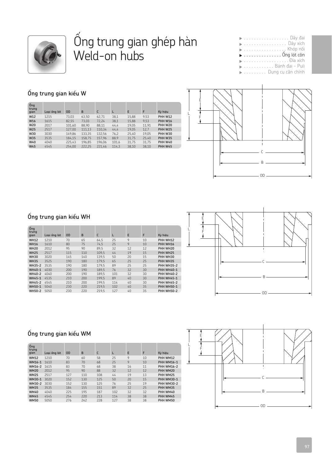

### Öng trung gian ghép hàn Weld-on hubs

|  |  |  |  |  |  |  |  |  | $\blacktriangleright$ Dây xích                                                                                        |
|--|--|--|--|--|--|--|--|--|-----------------------------------------------------------------------------------------------------------------------|
|  |  |  |  |  |  |  |  |  |                                                                                                                       |
|  |  |  |  |  |  |  |  |  | $\blacktriangleright$ Öng lót côn                                                                                     |
|  |  |  |  |  |  |  |  |  | <b>Dia xích</b>                                                                                                       |
|  |  |  |  |  |  |  |  |  |                                                                                                                       |
|  |  |  |  |  |  |  |  |  | <b>DESTINGED EN ANGLISHED AT A BRANCH A BRANCH A BRANCH A BRANCH A BRANCH A BRANCH A BRANCH A BRANCH A BRANCH A B</b> |

### $\acute{0}$ ng trung gian kiểu W

| Óng<br>trung<br>gian | Loai ống lót | <b>OD</b> | B      | C      | L     | E     | F     | Ký hiệu        |
|----------------------|--------------|-----------|--------|--------|-------|-------|-------|----------------|
| W12                  | 1215         | 73.03     | 63.50  | 62,71  | 38.1  | 15,88 | 9.53  | <b>PHH W12</b> |
| W16                  | 1615         | 82.55     | 73.03  | 72.24  | 38.1  | 15,88 | 9,53  | <b>PHH W16</b> |
| W20                  | 2017         | 101.60    | 88.90  | 88.11  | 44.4  | 19.05 | 11.91 | <b>PHH W20</b> |
| W25                  | 2517         | 127.00    | 111,13 | 110.34 | 44.4  | 19.05 | 12,7  | <b>PHH W25</b> |
| W30                  | 3030         | 149.86    | 133.35 | 132.56 | 76,2  | 25.40 | 19.05 | <b>PHH W30</b> |
| W35                  | 3535         | 184.15    | 158.75 | 157.96 | 88,9  | 31.75 | 25.40 | <b>PHH W35</b> |
| W40                  | 4040         | 225.43    | 196.85 | 196.06 | 101,6 | 31.75 | 31.75 | <b>PHH W40</b> |
| W45                  | 4545         | 254.00    | 222,25 | 221.46 | 114.3 | 38,10 | 38.10 | <b>PHH W45</b> |



### $\acute{0}$ ng trung gian kiểu WH

| Óng<br>trung<br>gian | Loai ống lót | <b>OD</b> | B   | C     | L   | E  | F  | Ký hiệu           |
|----------------------|--------------|-----------|-----|-------|-----|----|----|-------------------|
| <b>WH12</b>          | 1210         | 70        | 65  | 64,5  | 25  | 9  | 10 | PHH WH12          |
| <b>WH16</b>          | 1610         | 80        | 75  | 74.5  | 25  | 9  | 10 | PHH WH16          |
| <b>WH20</b>          | 2012         | 95        | 90  | 89.5  | 32  | 12 | 12 | PHH WH20          |
| <b>WH25</b>          | 2517         | 115       | 110 | 109.5 | 44  | 19 | 15 | PHH WH25          |
| <b>WH30</b>          | 3020         | 145       | 140 | 139.5 | 50  | 20 | 15 | PHH WH30          |
| <b>WH35</b>          | 3525         | 190       | 180 | 179.5 | 65  | 25 | 25 | PHH WH35          |
| <b>WH35-2</b>        | 3535         | 190       | 180 | 179.5 | 89  | 25 | 25 | <b>PHH WH35-2</b> |
| WH40-1               | 4030         | 200       | 190 | 189.5 | 76  | 32 | 30 | <b>PHH WH40-1</b> |
| <b>WH40-2</b>        | 4040         | 200       | 190 | 189.5 | 101 | 32 | 30 | <b>PHH WH40-2</b> |
| <b>WH45-1</b>        | 4535         | 210       | 200 | 199.5 | 89  | 40 | 30 | <b>PHH WH45-1</b> |
| <b>WH45-2</b>        | 4545         | 210       | 200 | 199.5 | 114 | 40 | 30 | <b>PHH WH45-2</b> |
| <b>WH50-1</b>        | 5040         | 230       | 220 | 219.5 | 102 | 40 | 35 | <b>PHH WH50-1</b> |
| <b>WH50-2</b>        | 5050         | 230       | 220 | 219.5 | 127 | 40 | 35 | <b>PHH WH50-2</b> |
|                      |              |           |     |       |     |    |    |                   |



### $\hat{O}$ ng trung gian kiểu WM

| Óng<br>trung<br>gian | Loai ống lót | 0D  | B   | c   | L   | E  | F  | Ký hiệu           |
|----------------------|--------------|-----|-----|-----|-----|----|----|-------------------|
| <b>WM12</b>          | 1210         | 70  | 60  | 58  | 25  | 9  | 10 | PHH WM12          |
| WM16-1               | 1610         | 83  | 70  | 68  | 25  | 9  | 10 | <b>PHH WM16-1</b> |
| WM16-2               | 1615         | 83  | 70  | 68  | 38  | 16 | 11 | <b>PHH WM16-2</b> |
| <b>WM20</b>          | 2012         | 95  | 90  | 88  | 32  | 12 | 12 | PHH WM20          |
| <b>WM25</b>          | 2517         | 127 | 110 | 108 | 44  | 19 | 13 | PHH WM25          |
| WM30-1               | 3020         | 152 | 130 | 125 | 50  | 20 | 15 | <b>PHH WM30-1</b> |
| WM30-2               | 3030         | 152 | 130 | 125 | 76  | 25 | 19 | <b>PHH WM30-2</b> |
| <b>WM35</b>          | 3535         | 184 | 155 | 151 | 89  | 32 | 25 | PHH WM35          |
| <b>WM40</b>          | 4040         | 225 | 195 | 187 | 102 | 32 | 32 | PHH WM40          |
| <b>WM45</b>          | 4545         | 254 | 220 | 213 | 114 | 38 | 38 | PHH WM45          |
| <b>WM50</b>          | 5050         | 276 | 747 | 228 | 127 | 38 | 38 | PHH WM50          |